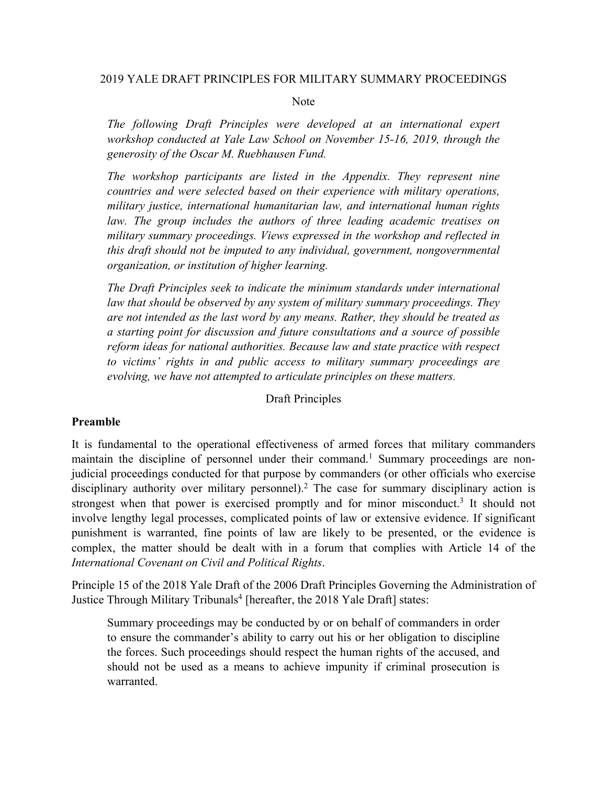### 2019 YALE DRAFT PRINCIPLES FOR MILITARY SUMMARY PROCEEDINGS

#### Note

*The following Draft Principles were developed at an international expert workshop conducted at Yale Law School on November 15-16, 2019, through the generosity of the Oscar M. Ruebhausen Fund.* 

*The workshop participants are listed in the Appendix. They represent nine countries and were selected based on their experience with military operations, military justice, international humanitarian law, and international human rights law. The group includes the authors of three leading academic treatises on military summary proceedings. Views expressed in the workshop and reflected in this draft should not be imputed to any individual, government, nongovernmental organization, or institution of higher learning.*

*The Draft Principles seek to indicate the minimum standards under international law that should be observed by any system of military summary proceedings. They are not intended as the last word by any means. Rather, they should be treated as a starting point for discussion and future consultations and a source of possible reform ideas for national authorities. Because law and state practice with respect to victims' rights in and public access to military summary proceedings are evolving, we have not attempted to articulate principles on these matters.*

Draft Principles

## **Preamble**

It is fundamental to the operational effectiveness of armed forces that military commanders maintain the discipline of personnel under their command.<sup>1</sup> Summary proceedings are nonjudicial proceedings conducted for that purpose by commanders (or other officials who exercise disciplinary authority over military personnel).<sup>2</sup> The case for summary disciplinary action is strongest when that power is exercised promptly and for minor misconduct.<sup>3</sup> It should not involve lengthy legal processes, complicated points of law or extensive evidence. If significant punishment is warranted, fine points of law are likely to be presented, or the evidence is complex, the matter should be dealt with in a forum that complies with Article 14 of the *International Covenant on Civil and Political Rights*.

Principle 15 of the 2018 Yale Draft of the 2006 Draft Principles Governing the Administration of Justice Through Military Tribunals<sup>4</sup> [hereafter, the 2018 Yale Draft] states:

Summary proceedings may be conducted by or on behalf of commanders in order to ensure the commander's ability to carry out his or her obligation to discipline the forces. Such proceedings should respect the human rights of the accused, and should not be used as a means to achieve impunity if criminal prosecution is warranted.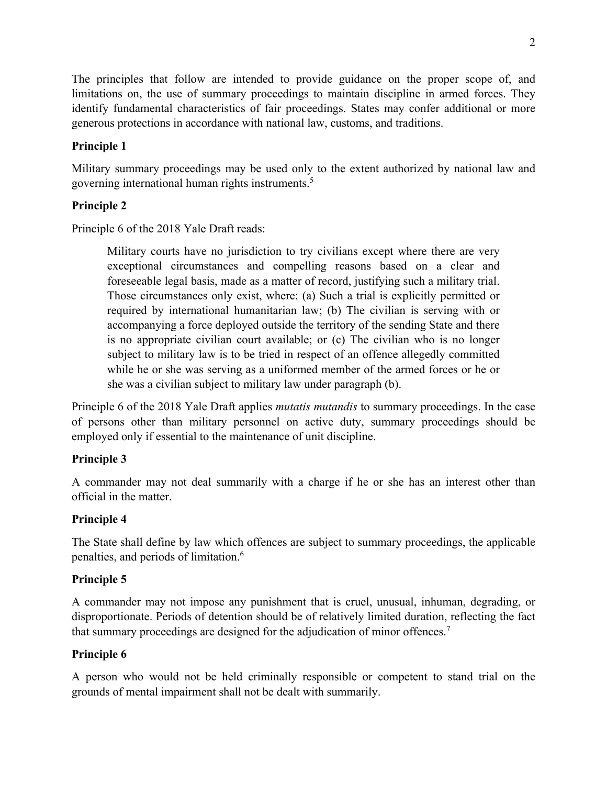The principles that follow are intended to provide guidance on the proper scope of, and limitations on, the use of summary proceedings to maintain discipline in armed forces. They identify fundamental characteristics of fair proceedings. States may confer additional or more generous protections in accordance with national law, customs, and traditions.

# **Principle 1**

Military summary proceedings may be used only to the extent authorized by national law and governing international human rights instruments.5

# **Principle 2**

Principle 6 of the 2018 Yale Draft reads:

Military courts have no jurisdiction to try civilians except where there are very exceptional circumstances and compelling reasons based on a clear and foreseeable legal basis, made as a matter of record, justifying such a military trial. Those circumstances only exist, where: (a) Such a trial is explicitly permitted or required by international humanitarian law; (b) The civilian is serving with or accompanying a force deployed outside the territory of the sending State and there is no appropriate civilian court available; or (c) The civilian who is no longer subject to military law is to be tried in respect of an offence allegedly committed while he or she was serving as a uniformed member of the armed forces or he or she was a civilian subject to military law under paragraph (b).

Principle 6 of the 2018 Yale Draft applies *mutatis mutandis* to summary proceedings. In the case of persons other than military personnel on active duty, summary proceedings should be employed only if essential to the maintenance of unit discipline.

# **Principle 3**

A commander may not deal summarily with a charge if he or she has an interest other than official in the matter.

# **Principle 4**

The State shall define by law which offences are subject to summary proceedings, the applicable penalties, and periods of limitation. 6

# **Principle 5**

A commander may not impose any punishment that is cruel, unusual, inhuman, degrading, or disproportionate. Periods of detention should be of relatively limited duration, reflecting the fact that summary proceedings are designed for the adjudication of minor offences.7

# **Principle 6**

A person who would not be held criminally responsible or competent to stand trial on the grounds of mental impairment shall not be dealt with summarily.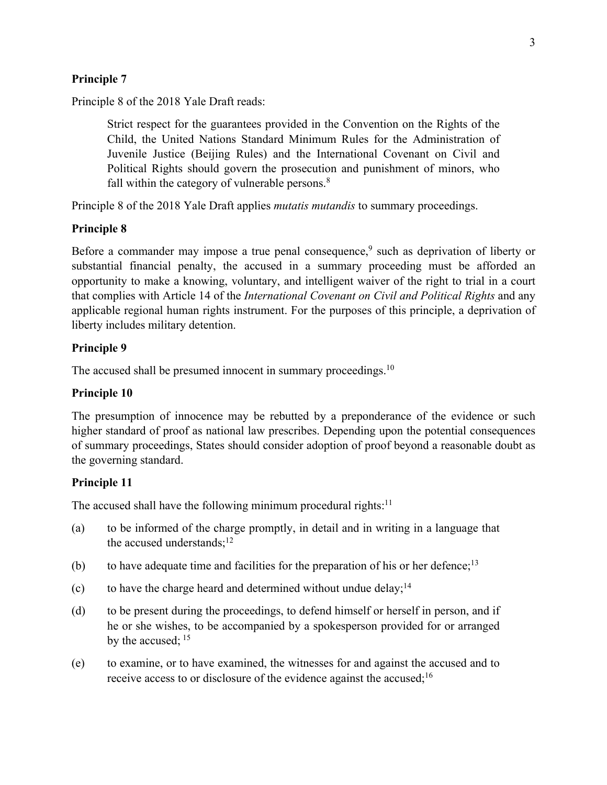### **Principle 7**

Principle 8 of the 2018 Yale Draft reads:

Strict respect for the guarantees provided in the Convention on the Rights of the Child, the United Nations Standard Minimum Rules for the Administration of Juvenile Justice (Beijing Rules) and the International Covenant on Civil and Political Rights should govern the prosecution and punishment of minors, who fall within the category of vulnerable persons. $8$ 

Principle 8 of the 2018 Yale Draft applies *mutatis mutandis* to summary proceedings.

### **Principle 8**

Before a commander may impose a true penal consequence, <sup>9</sup> such as deprivation of liberty or substantial financial penalty, the accused in a summary proceeding must be afforded an opportunity to make a knowing, voluntary, and intelligent waiver of the right to trial in a court that complies with Article 14 of the *International Covenant on Civil and Political Rights* and any applicable regional human rights instrument. For the purposes of this principle, a deprivation of liberty includes military detention.

### **Principle 9**

The accused shall be presumed innocent in summary proceedings.<sup>10</sup>

#### **Principle 10**

The presumption of innocence may be rebutted by a preponderance of the evidence or such higher standard of proof as national law prescribes. Depending upon the potential consequences of summary proceedings, States should consider adoption of proof beyond a reasonable doubt as the governing standard.

### **Principle 11**

The accused shall have the following minimum procedural rights: $11$ 

- (a) to be informed of the charge promptly, in detail and in writing in a language that the accused understands; $^{12}$
- (b) to have adequate time and facilities for the preparation of his or her defence;<sup>13</sup>
- (c) to have the charge heard and determined without undue delay;<sup>14</sup>
- (d) to be present during the proceedings, to defend himself or herself in person, and if he or she wishes, to be accompanied by a spokesperson provided for or arranged by the accused; <sup>15</sup>
- (e) to examine, or to have examined, the witnesses for and against the accused and to receive access to or disclosure of the evidence against the accused;<sup>16</sup>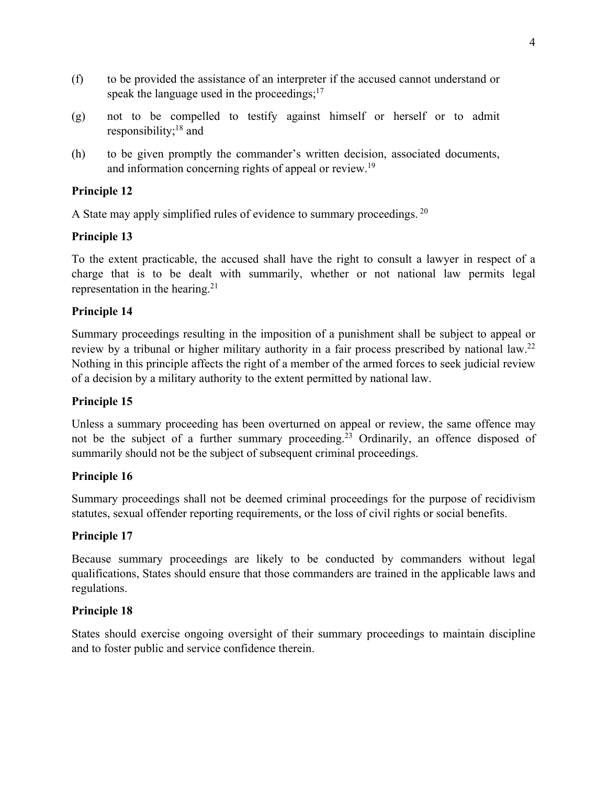- (f) to be provided the assistance of an interpreter if the accused cannot understand or speak the language used in the proceedings;<sup>17</sup>
- (g) not to be compelled to testify against himself or herself or to admit responsibility;18 and
- (h) to be given promptly the commander's written decision, associated documents, and information concerning rights of appeal or review.<sup>19</sup>

# **Principle 12**

A State may apply simplified rules of evidence to summary proceedings. <sup>20</sup>

# **Principle 13**

To the extent practicable, the accused shall have the right to consult a lawyer in respect of a charge that is to be dealt with summarily, whether or not national law permits legal representation in the hearing.<sup>21</sup>

## **Principle 14**

Summary proceedings resulting in the imposition of a punishment shall be subject to appeal or review by a tribunal or higher military authority in a fair process prescribed by national law.<sup>22</sup> Nothing in this principle affects the right of a member of the armed forces to seek judicial review of a decision by a military authority to the extent permitted by national law.

## **Principle 15**

Unless a summary proceeding has been overturned on appeal or review, the same offence may not be the subject of a further summary proceeding.<sup>23</sup> Ordinarily, an offence disposed of summarily should not be the subject of subsequent criminal proceedings.

## **Principle 16**

Summary proceedings shall not be deemed criminal proceedings for the purpose of recidivism statutes, sexual offender reporting requirements, or the loss of civil rights or social benefits.

## **Principle 17**

Because summary proceedings are likely to be conducted by commanders without legal qualifications, States should ensure that those commanders are trained in the applicable laws and regulations.

## **Principle 18**

States should exercise ongoing oversight of their summary proceedings to maintain discipline and to foster public and service confidence therein.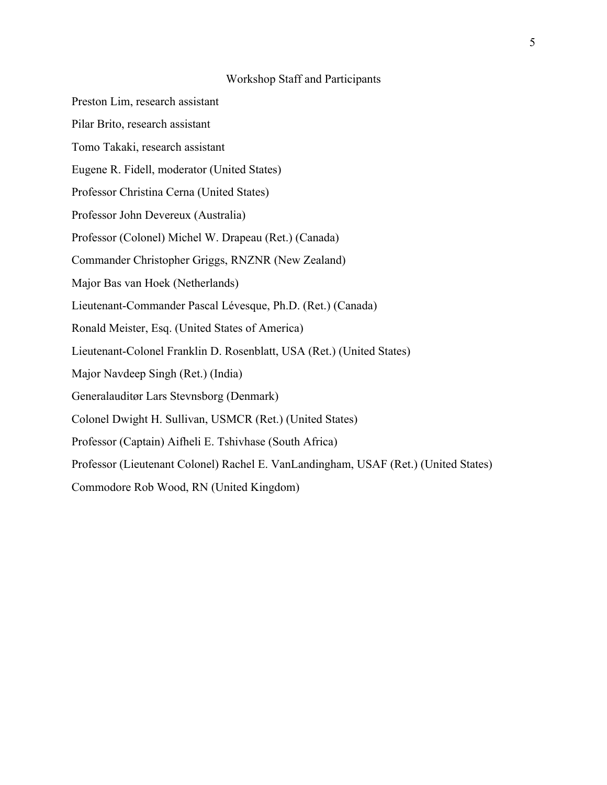#### Workshop Staff and Participants

- Preston Lim, research assistant
- Pilar Brito, research assistant
- Tomo Takaki, research assistant
- Eugene R. Fidell, moderator (United States)
- Professor Christina Cerna (United States)
- Professor John Devereux (Australia)
- Professor (Colonel) Michel W. Drapeau (Ret.) (Canada)
- Commander Christopher Griggs, RNZNR (New Zealand)
- Major Bas van Hoek (Netherlands)
- Lieutenant-Commander Pascal Lévesque, Ph.D. (Ret.) (Canada)
- Ronald Meister, Esq. (United States of America)
- Lieutenant-Colonel Franklin D. Rosenblatt, USA (Ret.) (United States)
- Major Navdeep Singh (Ret.) (India)
- Generalauditør Lars Stevnsborg (Denmark)
- Colonel Dwight H. Sullivan, USMCR (Ret.) (United States)
- Professor (Captain) Aifheli E. Tshivhase (South Africa)
- Professor (Lieutenant Colonel) Rachel E. VanLandingham, USAF (Ret.) (United States)
- Commodore Rob Wood, RN (United Kingdom)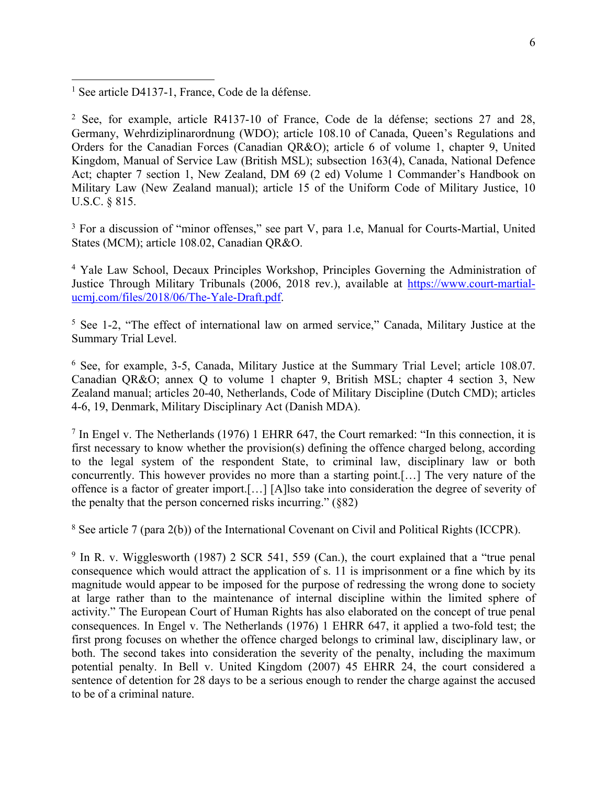<sup>2</sup> See, for example, article R4137-10 of France, Code de la défense; sections 27 and 28, Germany, Wehrdiziplinarordnung (WDO); article 108.10 of Canada, Queen's Regulations and Orders for the Canadian Forces (Canadian QR&O); article 6 of volume 1, chapter 9, United Kingdom, Manual of Service Law (British MSL); subsection 163(4), Canada, National Defence Act; chapter 7 section 1, New Zealand, DM 69 (2 ed) Volume 1 Commander's Handbook on Military Law (New Zealand manual); article 15 of the Uniform Code of Military Justice, 10 U.S.C. § 815.

<sup>3</sup> For a discussion of "minor offenses," see part V, para 1.e, Manual for Courts-Martial, United States (MCM); article 108.02, Canadian QR&O.

<sup>4</sup> Yale Law School, Decaux Principles Workshop, Principles Governing the Administration of Justice Through Military Tribunals (2006, 2018 rev.), available at https://www.court-martialucmj.com/files/2018/06/The-Yale-Draft.pdf.

<sup>5</sup> See 1-2, "The effect of international law on armed service," Canada, Military Justice at the Summary Trial Level.

<sup>6</sup> See, for example, 3-5, Canada, Military Justice at the Summary Trial Level; article 108.07. Canadian QR&O; annex Q to volume 1 chapter 9, British MSL; chapter 4 section 3, New Zealand manual; articles 20-40, Netherlands, Code of Military Discipline (Dutch CMD); articles 4-6, 19, Denmark, Military Disciplinary Act (Danish MDA).

 $<sup>7</sup>$  In Engel v. The Netherlands (1976) 1 EHRR 647, the Court remarked: "In this connection, it is</sup> first necessary to know whether the provision(s) defining the offence charged belong, according to the legal system of the respondent State, to criminal law, disciplinary law or both concurrently. This however provides no more than a starting point.[…] The very nature of the offence is a factor of greater import.[…] [A]lso take into consideration the degree of severity of the penalty that the person concerned risks incurring." (§82)

<sup>8</sup> See article 7 (para 2(b)) of the International Covenant on Civil and Political Rights (ICCPR).

 $9 \text{ In } R$ , v. Wigglesworth (1987) 2 SCR 541, 559 (Can.), the court explained that a "true penal consequence which would attract the application of s. 11 is imprisonment or a fine which by its magnitude would appear to be imposed for the purpose of redressing the wrong done to society at large rather than to the maintenance of internal discipline within the limited sphere of activity." The European Court of Human Rights has also elaborated on the concept of true penal consequences. In Engel v. The Netherlands (1976) 1 EHRR 647, it applied a two-fold test; the first prong focuses on whether the offence charged belongs to criminal law, disciplinary law, or both. The second takes into consideration the severity of the penalty, including the maximum potential penalty. In Bell v. United Kingdom (2007) 45 EHRR 24, the court considered a sentence of detention for 28 days to be a serious enough to render the charge against the accused to be of a criminal nature.

<sup>&</sup>lt;sup>1</sup> See article D4137-1, France, Code de la défense.